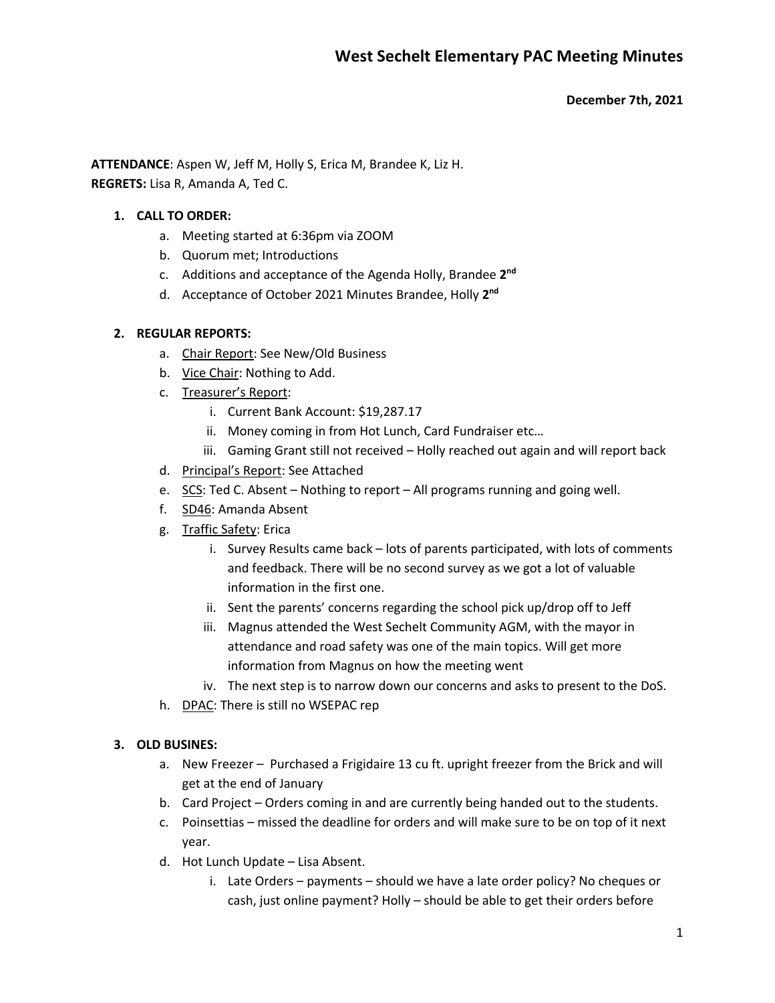**December 7th, 2021**

**ATTENDANCE**: Aspen W, Jeff M, Holly S, Erica M, Brandee K, Liz H. **REGRETS:** Lisa R, Amanda A, Ted C.

### **1. CALL TO ORDER:**

- a. Meeting started at 6:36pm via ZOOM
- b. Quorum met; Introductions
- c. Additions and acceptance of the Agenda Holly, Brandee **2nd**
- d. Acceptance of October 2021 Minutes Brandee, Holly **2nd**

### **2. REGULAR REPORTS:**

- a. Chair Report: See New/Old Business
- b. Vice Chair: Nothing to Add.
- c. Treasurer's Report:
	- i. Current Bank Account: \$19,287.17
	- ii. Money coming in from Hot Lunch, Card Fundraiser etc…
	- iii. Gaming Grant still not received Holly reached out again and will report back
- d. Principal's Report: See Attached
- e. SCS: Ted C. Absent Nothing to report All programs running and going well.
- f. SD46: Amanda Absent
- g. Traffic Safety: Erica
	- i. Survey Results came back lots of parents participated, with lots of comments and feedback. There will be no second survey as we got a lot of valuable information in the first one.
	- ii. Sent the parents' concerns regarding the school pick up/drop off to Jeff
	- iii. Magnus attended the West Sechelt Community AGM, with the mayor in attendance and road safety was one of the main topics. Will get more information from Magnus on how the meeting went
	- iv. The next step is to narrow down our concerns and asks to present to the DoS.
- h. DPAC: There is still no WSEPAC rep

#### **3. OLD BUSINES:**

- a. New Freezer Purchased a Frigidaire 13 cu ft. upright freezer from the Brick and will get at the end of January
- b. Card Project Orders coming in and are currently being handed out to the students.
- c. Poinsettias missed the deadline for orders and will make sure to be on top of it next year.
- d. Hot Lunch Update Lisa Absent.
	- i. Late Orders payments should we have a late order policy? No cheques or cash, just online payment? Holly – should be able to get their orders before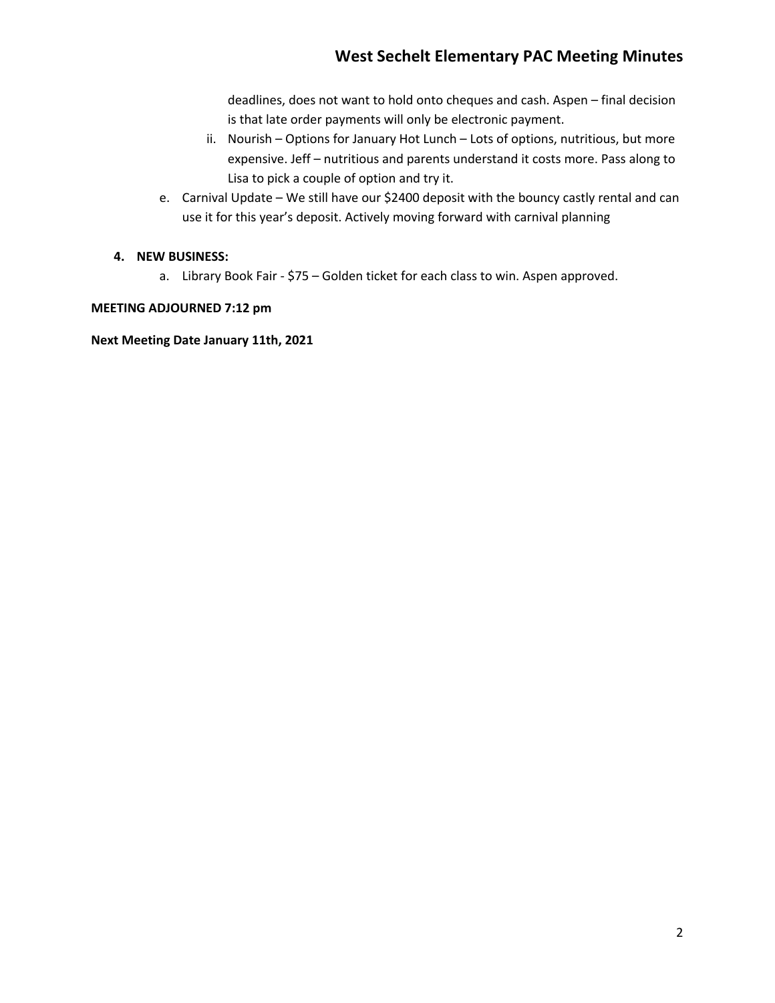# **West Sechelt Elementary PAC Meeting Minutes**

deadlines, does not want to hold onto cheques and cash. Aspen – final decision is that late order payments will only be electronic payment.

- ii. Nourish Options for January Hot Lunch Lots of options, nutritious, but more expensive. Jeff – nutritious and parents understand it costs more. Pass along to Lisa to pick a couple of option and try it.
- e. Carnival Update We still have our \$2400 deposit with the bouncy castly rental and can use it for this year's deposit. Actively moving forward with carnival planning

## **4. NEW BUSINESS:**

a. Library Book Fair - \$75 – Golden ticket for each class to win. Aspen approved.

## **MEETING ADJOURNED 7:12 pm**

**Next Meeting Date January 11th, 2021**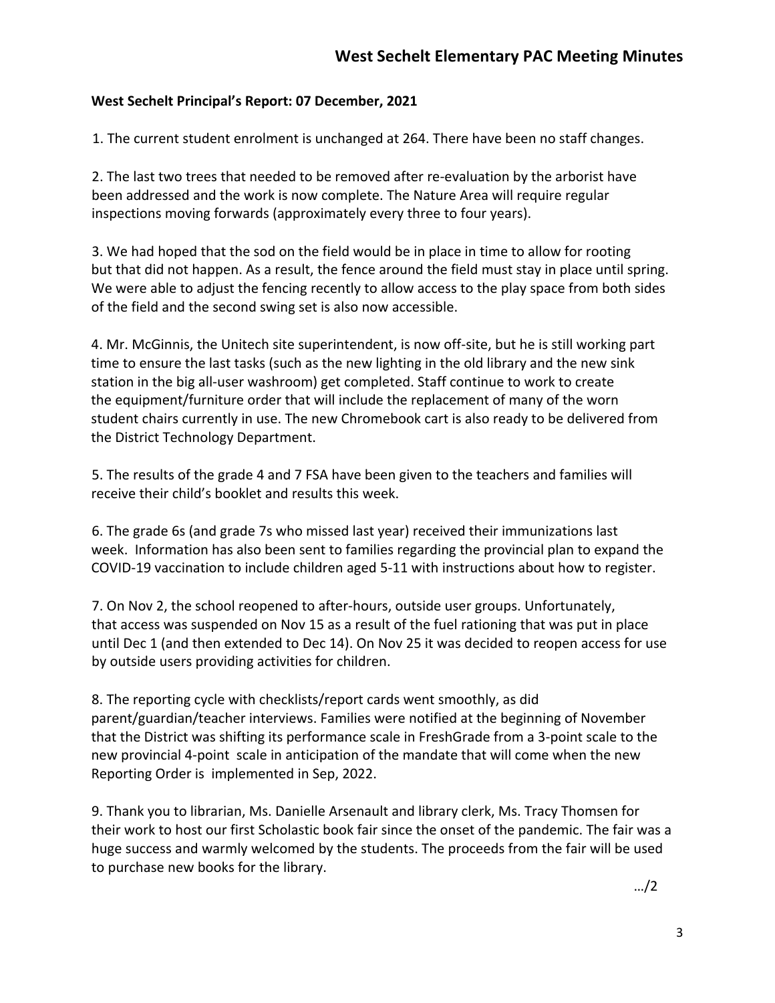# **West Sechelt Principal's Report: 07 December, 2021**

1. The current student enrolment is unchanged at 264. There have been no staff changes.

2. The last two trees that needed to be removed after re-evaluation by the arborist have been addressed and the work is now complete. The Nature Area will require regular inspections moving forwards (approximately every three to four years).

3. We had hoped that the sod on the field would be in place in time to allow for rooting but that did not happen. As a result, the fence around the field must stay in place until spring. We were able to adjust the fencing recently to allow access to the play space from both sides of the field and the second swing set is also now accessible.

4. Mr. McGinnis, the Unitech site superintendent, is now off-site, but he is still working part time to ensure the last tasks (such as the new lighting in the old library and the new sink station in the big all-user washroom) get completed. Staff continue to work to create the equipment/furniture order that will include the replacement of many of the worn student chairs currently in use. The new Chromebook cart is also ready to be delivered from the District Technology Department.

5. The results of the grade 4 and 7 FSA have been given to the teachers and families will receive their child's booklet and results this week.

6. The grade 6s (and grade 7s who missed last year) received their immunizations last week. Information has also been sent to families regarding the provincial plan to expand the COVID-19 vaccination to include children aged 5-11 with instructions about how to register.

7. On Nov 2, the school reopened to after-hours, outside user groups. Unfortunately, that access was suspended on Nov 15 as a result of the fuel rationing that was put in place until Dec 1 (and then extended to Dec 14). On Nov 25 it was decided to reopen access for use by outside users providing activities for children.

8. The reporting cycle with checklists/report cards went smoothly, as did parent/guardian/teacher interviews. Families were notified at the beginning of November that the District was shifting its performance scale in FreshGrade from a 3-point scale to the new provincial 4-point scale in anticipation of the mandate that will come when the new Reporting Order is implemented in Sep, 2022.

9. Thank you to librarian, Ms. Danielle Arsenault and library clerk, Ms. Tracy Thomsen for their work to host our first Scholastic book fair since the onset of the pandemic. The fair was a huge success and warmly welcomed by the students. The proceeds from the fair will be used to purchase new books for the library.

…/2